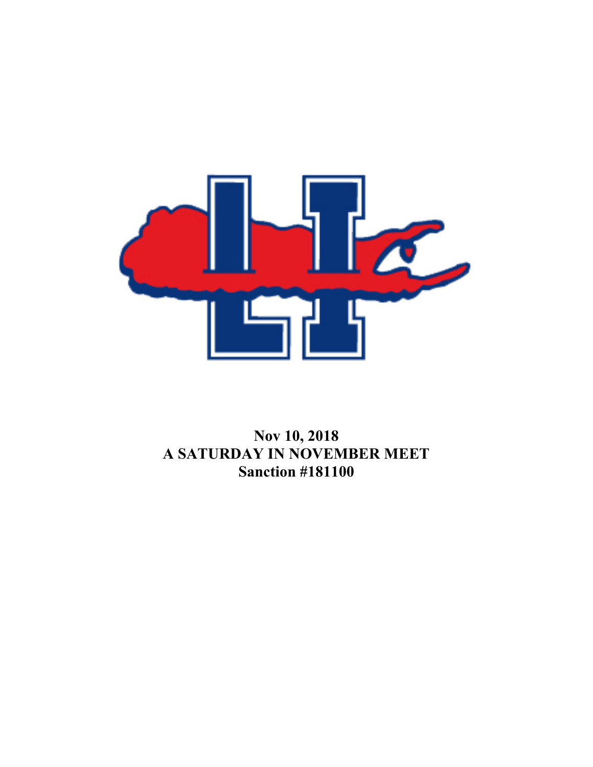

## **Nov 10, 2018 A SATURDAY IN NOVEMBER MEET Sanction #181100**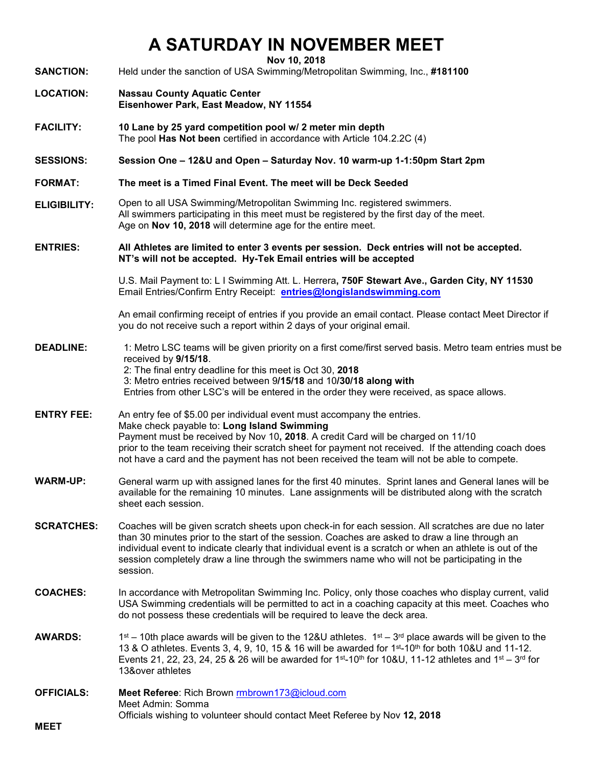## **A SATURDAY IN NOVEMBER MEET**

**Nov 10, 2018**

**SANCTION:** Held under the sanction of USA Swimming/Metropolitan Swimming, Inc., **#181100**

- **LOCATION: Nassau County Aquatic Center Eisenhower Park, East Meadow, NY 11554**
- **FACILITY: 10 Lane by 25 yard competition pool w/ 2 meter min depth**  The pool **Has Not been** certified in accordance with Article 104.2.2C (4)
- **SESSIONS: Session One – 12&U and Open – Saturday Nov. 10 warm-up 1-1:50pm Start 2pm**
- **FORMAT: The meet is a Timed Final Event. The meet will be Deck Seeded**
- **ELIGIBILITY:** Open to all USA Swimming/Metropolitan Swimming Inc. registered swimmers. All swimmers participating in this meet must be registered by the first day of the meet. Age on **Nov 10, 2018** will determine age for the entire meet.
- **ENTRIES: All Athletes are limited to enter 3 events per session. Deck entries will not be accepted. NT's will not be accepted. Hy-Tek Email entries will be accepted**

U.S. Mail Payment to: L I Swimming Att. L. Herrera**, 750F Stewart Ave., Garden City, NY 11530** Email Entries/Confirm Entry Receipt: **[entries@longislandswimming.com](mailto:entries@longislandswimming.com)**

An email confirming receipt of entries if you provide an email contact. Please contact Meet Director if you do not receive such a report within 2 days of your original email.

- **DEADLINE:** 1: Metro LSC teams will be given priority on a first come/first served basis. Metro team entries must be received by **9/15/18**. 2: The final entry deadline for this meet is Oct 30, **2018** 3: Metro entries received between 9**/15/18** and 10**/30/18 along with**  Entries from other LSC's will be entered in the order they were received, as space allows.
- **ENTRY FEE:** An entry fee of \$5.00 per individual event must accompany the entries. Make check payable to: **Long Island Swimming** Payment must be received by Nov 10**, 2018**. A credit Card will be charged on 11/10 prior to the team receiving their scratch sheet for payment not received. If the attending coach does not have a card and the payment has not been received the team will not be able to compete.
- **WARM-UP:** General warm up with assigned lanes for the first 40 minutes. Sprint lanes and General lanes will be available for the remaining 10 minutes. Lane assignments will be distributed along with the scratch sheet each session.
- **SCRATCHES:** Coaches will be given scratch sheets upon check-in for each session. All scratches are due no later than 30 minutes prior to the start of the session. Coaches are asked to draw a line through an individual event to indicate clearly that individual event is a scratch or when an athlete is out of the session completely draw a line through the swimmers name who will not be participating in the session.
- **COACHES:** In accordance with Metropolitan Swimming Inc. Policy, only those coaches who display current, valid USA Swimming credentials will be permitted to act in a coaching capacity at this meet. Coaches who do not possess these credentials will be required to leave the deck area.
- **AWARDS:**  $1^{st} 10$ th place awards will be given to the 12&U athletes.  $1^{st} 3^{rd}$  place awards will be given to the 13 & O athletes. Events 3, 4, 9, 10, 15 & 16 will be awarded for 1st-10th for both 10&U and 11-12. Events 21, 22, 23, 24, 25 & 26 will be awarded for  $1<sup>st</sup>-10<sup>th</sup>$  for 10&U, 11-12 athletes and  $1<sup>st</sup>-3<sup>rd</sup>$  for 13&over athletes
- **OFFICIALS: Meet Referee**: Rich Brown [rmbrown173@icloud.c](mailto:richbrown4@verizon.net)om Meet Admin: Somma Officials wishing to volunteer should contact Meet Referee by Nov **12, 2018**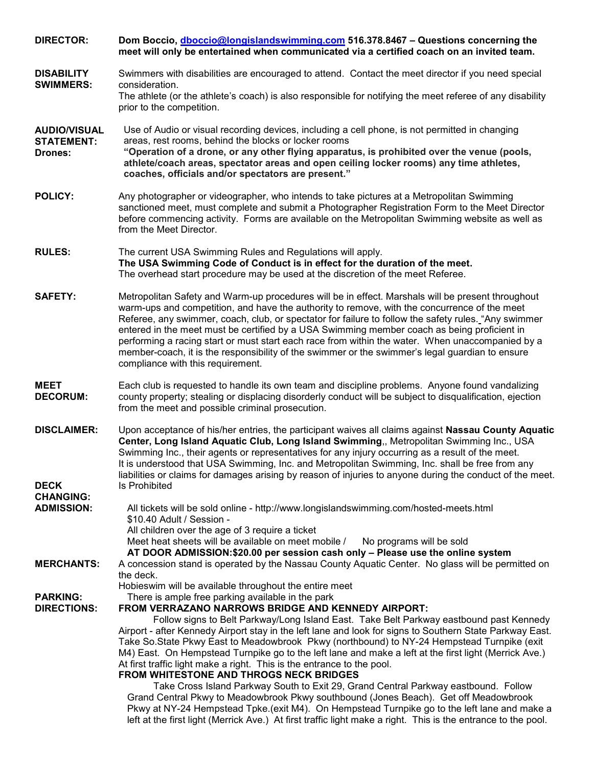| <b>DIRECTOR:</b>                                      | Dom Boccio, dboccio@longislandswimming.com 516.378.8467 - Questions concerning the<br>meet will only be entertained when communicated via a certified coach on an invited team.                                                                                                                                                                                                                                                                                                                                                                                                                                                                                                                                                                                                                                                                                                                                                                                                                                                            |  |  |
|-------------------------------------------------------|--------------------------------------------------------------------------------------------------------------------------------------------------------------------------------------------------------------------------------------------------------------------------------------------------------------------------------------------------------------------------------------------------------------------------------------------------------------------------------------------------------------------------------------------------------------------------------------------------------------------------------------------------------------------------------------------------------------------------------------------------------------------------------------------------------------------------------------------------------------------------------------------------------------------------------------------------------------------------------------------------------------------------------------------|--|--|
| <b>DISABILITY</b><br><b>SWIMMERS:</b>                 | Swimmers with disabilities are encouraged to attend. Contact the meet director if you need special<br>consideration.<br>The athlete (or the athlete's coach) is also responsible for notifying the meet referee of any disability<br>prior to the competition.                                                                                                                                                                                                                                                                                                                                                                                                                                                                                                                                                                                                                                                                                                                                                                             |  |  |
| <b>AUDIO/VISUAL</b><br><b>STATEMENT:</b><br>Drones:   | Use of Audio or visual recording devices, including a cell phone, is not permitted in changing<br>areas, rest rooms, behind the blocks or locker rooms<br>"Operation of a drone, or any other flying apparatus, is prohibited over the venue (pools,<br>athlete/coach areas, spectator areas and open ceiling locker rooms) any time athletes,<br>coaches, officials and/or spectators are present."                                                                                                                                                                                                                                                                                                                                                                                                                                                                                                                                                                                                                                       |  |  |
| <b>POLICY:</b>                                        | Any photographer or videographer, who intends to take pictures at a Metropolitan Swimming<br>sanctioned meet, must complete and submit a Photographer Registration Form to the Meet Director<br>before commencing activity. Forms are available on the Metropolitan Swimming website as well as<br>from the Meet Director.                                                                                                                                                                                                                                                                                                                                                                                                                                                                                                                                                                                                                                                                                                                 |  |  |
| <b>RULES:</b>                                         | The current USA Swimming Rules and Regulations will apply.<br>The USA Swimming Code of Conduct is in effect for the duration of the meet.<br>The overhead start procedure may be used at the discretion of the meet Referee.                                                                                                                                                                                                                                                                                                                                                                                                                                                                                                                                                                                                                                                                                                                                                                                                               |  |  |
| <b>SAFETY:</b>                                        | Metropolitan Safety and Warm-up procedures will be in effect. Marshals will be present throughout<br>warm-ups and competition, and have the authority to remove, with the concurrence of the meet<br>Referee, any swimmer, coach, club, or spectator for failure to follow the safety rules. "Any swimmer<br>entered in the meet must be certified by a USA Swimming member coach as being proficient in<br>performing a racing start or must start each race from within the water. When unaccompanied by a<br>member-coach, it is the responsibility of the swimmer or the swimmer's legal guardian to ensure<br>compliance with this requirement.                                                                                                                                                                                                                                                                                                                                                                                       |  |  |
| <b>MEET</b><br><b>DECORUM:</b>                        | Each club is requested to handle its own team and discipline problems. Anyone found vandalizing<br>county property; stealing or displacing disorderly conduct will be subject to disqualification, ejection<br>from the meet and possible criminal prosecution.                                                                                                                                                                                                                                                                                                                                                                                                                                                                                                                                                                                                                                                                                                                                                                            |  |  |
| <b>DISCLAIMER:</b><br><b>DECK</b><br><b>CHANGING:</b> | Upon acceptance of his/her entries, the participant waives all claims against Nassau County Aquatic<br>Center, Long Island Aquatic Club, Long Island Swimming,, Metropolitan Swimming Inc., USA<br>Swimming Inc., their agents or representatives for any injury occurring as a result of the meet.<br>It is understood that USA Swimming, Inc. and Metropolitan Swimming, Inc. shall be free from any<br>liabilities or claims for damages arising by reason of injuries to anyone during the conduct of the meet.<br>Is Prohibited                                                                                                                                                                                                                                                                                                                                                                                                                                                                                                       |  |  |
| <b>ADMISSION:</b>                                     | All tickets will be sold online - http://www.longislandswimming.com/hosted-meets.html<br>\$10.40 Adult / Session -<br>All children over the age of 3 require a ticket<br>Meet heat sheets will be available on meet mobile /<br>No programs will be sold<br>AT DOOR ADMISSION:\$20.00 per session cash only - Please use the online system                                                                                                                                                                                                                                                                                                                                                                                                                                                                                                                                                                                                                                                                                                 |  |  |
| <b>MERCHANTS:</b>                                     | A concession stand is operated by the Nassau County Aquatic Center. No glass will be permitted on<br>the deck.<br>Hobieswim will be available throughout the entire meet                                                                                                                                                                                                                                                                                                                                                                                                                                                                                                                                                                                                                                                                                                                                                                                                                                                                   |  |  |
| <b>PARKING:</b><br><b>DIRECTIONS:</b>                 | There is ample free parking available in the park<br>FROM VERRAZANO NARROWS BRIDGE AND KENNEDY AIRPORT:<br>Follow signs to Belt Parkway/Long Island East. Take Belt Parkway eastbound past Kennedy<br>Airport - after Kennedy Airport stay in the left lane and look for signs to Southern State Parkway East.<br>Take So.State Pkwy East to Meadowbrook Pkwy (northbound) to NY-24 Hempstead Turnpike (exit<br>M4) East. On Hempstead Turnpike go to the left lane and make a left at the first light (Merrick Ave.)<br>At first traffic light make a right. This is the entrance to the pool.<br>FROM WHITESTONE AND THROGS NECK BRIDGES<br>Take Cross Island Parkway South to Exit 29, Grand Central Parkway eastbound. Follow<br>Grand Central Pkwy to Meadowbrook Pkwy southbound (Jones Beach). Get off Meadowbrook<br>Pkwy at NY-24 Hempstead Tpke.(exit M4). On Hempstead Turnpike go to the left lane and make a<br>left at the first light (Merrick Ave.) At first traffic light make a right. This is the entrance to the pool. |  |  |